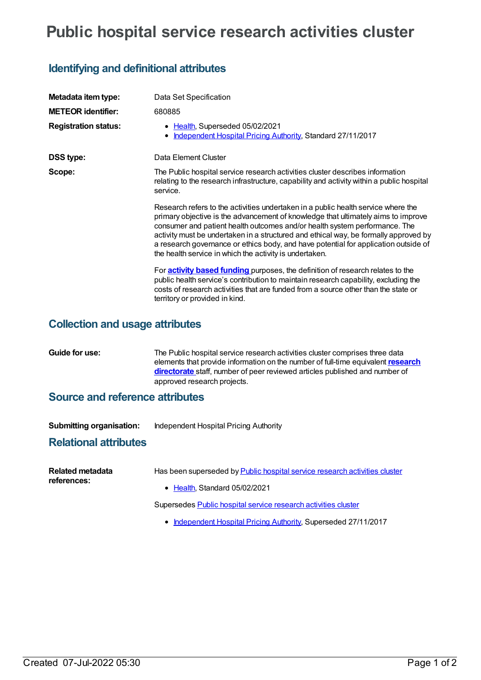# **Public hospital service research activities cluster**

# **Identifying and definitional attributes**

| Metadata item type:         | Data Set Specification                                                                                                                                                                                                                                                                                                                                                                                                                                                                         |
|-----------------------------|------------------------------------------------------------------------------------------------------------------------------------------------------------------------------------------------------------------------------------------------------------------------------------------------------------------------------------------------------------------------------------------------------------------------------------------------------------------------------------------------|
| <b>METEOR identifier:</b>   | 680885                                                                                                                                                                                                                                                                                                                                                                                                                                                                                         |
| <b>Registration status:</b> | • Health, Superseded 05/02/2021<br>Independent Hospital Pricing Authority, Standard 27/11/2017<br>٠                                                                                                                                                                                                                                                                                                                                                                                            |
| <b>DSS type:</b>            | Data Element Cluster                                                                                                                                                                                                                                                                                                                                                                                                                                                                           |
| Scope:                      | The Public hospital service research activities cluster describes information<br>relating to the research infrastructure, capability and activity within a public hospital<br>service.                                                                                                                                                                                                                                                                                                         |
|                             | Research refers to the activities undertaken in a public health service where the<br>primary objective is the advancement of knowledge that ultimately aims to improve<br>consumer and patient health outcomes and/or health system performance. The<br>activity must be undertaken in a structured and ethical way, be formally approved by<br>a research governance or ethics body, and have potential for application outside of<br>the health service in which the activity is undertaken. |
|                             | For <b>activity based funding</b> purposes, the definition of research relates to the<br>public health service's contribution to maintain research capability, excluding the<br>costs of research activities that are funded from a source other than the state or<br>territory or provided in kind.                                                                                                                                                                                           |
|                             |                                                                                                                                                                                                                                                                                                                                                                                                                                                                                                |

## **Collection and usage attributes**

| Guide for use: | The Public hospital service research activities cluster comprises three data<br>elements that provide information on the number of full-time equivalent research<br>directorate staff, number of peer reviewed articles published and number of |
|----------------|-------------------------------------------------------------------------------------------------------------------------------------------------------------------------------------------------------------------------------------------------|
|                | approved research projects.                                                                                                                                                                                                                     |

### **Source and reference attributes**

| <b>Submitting organisation:</b> | Independent Hospital Pricing Authority |
|---------------------------------|----------------------------------------|
|                                 |                                        |

#### **Relational attributes**

| Related metadata<br>references: | Has been superseded by Public hospital service research activities cluster<br>• Health, Standard 05/02/2021 |
|---------------------------------|-------------------------------------------------------------------------------------------------------------|
|                                 | Supersedes Public hospital service research activities cluster                                              |
|                                 | • Independent Hospital Pricing Authority, Superseded 27/11/2017                                             |